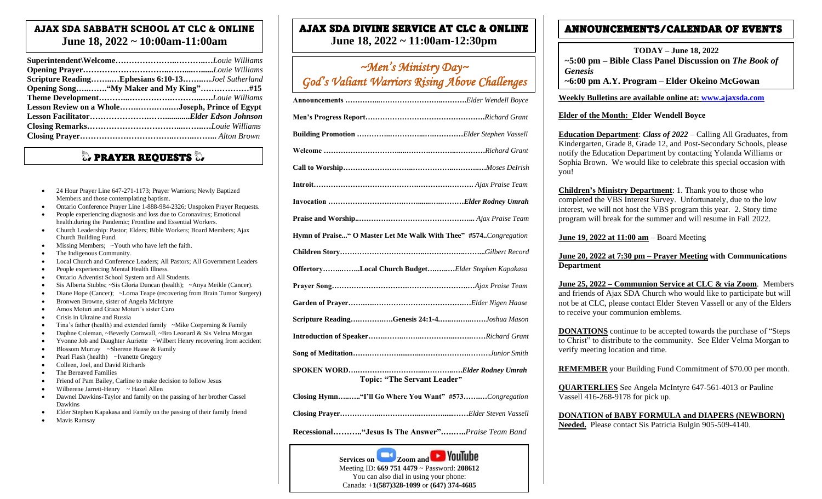### AJAX SDA SABBATH SCHOOL AT CLC & ONLINE **June 18, 2022 ~ 10:00am-11:00am**

| Scripture ReadingEphesians 6:10-13Joel Sutherland |  |
|---------------------------------------------------|--|
| Opening Song"My Maker and My King"#15             |  |
|                                                   |  |
| Lesson Review on a WholeJoseph, Prince of Egypt   |  |
|                                                   |  |
|                                                   |  |
|                                                   |  |

### $\mathbb Q$  prayer requests  $\mathbb Q$

- 24 Hour Prayer Line 647-271-1173; Prayer Warriors; Newly Baptized Members and those contemplating baptism.
- Ontario Conference Prayer Line 1-888-984-2326; Unspoken Prayer Requests.
- People experiencing diagnosis and loss due to Coronavirus; Emotional health.during the Pandemic; Frontline and Essential Workers.
- Church Leadership: Pastor; Elders; Bible Workers; Board Members; Ajax Church Building Fund.
- Missing Members; ~Youth who have left the faith.
- The Indigenous Community.
- Local Church and Conference Leaders; All Pastors; All Government Leaders
- People experiencing Mental Health Illness.
- Ontario Adventist School System and All Students.
- Sis Alberta Stubbs; ~Sis Gloria Duncan (health); ~Anya Meikle (Cancer).
- Diane Hope (Cancer); ~Lorna Teape (recovering from Brain Tumor Surgery)
- Bronwen Browne, sister of Angela McIntyre
- Amos Moturi and Grace Moturi's sister Caro
- Crisis in Ukraine and Russia
- Tina's father (health) and extended family ~Mike Corperning & Family
- Daphne Coleman, ~Beverly Cornwall, ~Bro Leonard & Sis Velma Morgan
- Yvonne Job and Daughter Auriette ~Wilbert Henry recovering from accident
- Blossom Murray ~Sherene Haase & Family
- Pearl Flash (health) ~Ivanette Gregory
- Colleen, Joel, and David Richards
- The Bereaved Families
- Friend of Pam Bailey, Carline to make decision to follow Jesus
- Wilberene Jarrett-Henry ~ Hazel Allen
- Dawnel Dawkins-Taylor and family on the passing of her brother Cassel Dawkins
- Elder Stephen Kapakasa and Family on the passing of their family friend
- Mavis Ramsay

# AJAX SDA DIVINE SERVICE AT CLC & ONLINE

**June 18, 2022 ~ 11:00am-12:30pm**

### *~Men's Ministry Day~ God's Valiant Warriors Rising Above Challenges*

| Hymn of Praise" O Master Let Me Walk With Thee" #574Congregation |  |  |
|------------------------------------------------------------------|--|--|
|                                                                  |  |  |
| OffertoryLocal Church BudgetElder Stephen Kapakasa               |  |  |
|                                                                  |  |  |
|                                                                  |  |  |
| Scripture ReadingGenesis 24:1-4Joshua Mason                      |  |  |
|                                                                  |  |  |
|                                                                  |  |  |
| <b>Topic: "The Servant Leader"</b>                               |  |  |
| Closing Hymn"I'll Go Where You Want" #573Congregation            |  |  |

**Closing Prayer……………..……………..………......……***Elder Steven Vassell*

**Recessional……….."Jesus Is The Answer".….…..***Praise Team Band*



### ANNOUNCEMENTS/CALENDAR OF EVENTS

**TODAY – June 18, 2022 ~5:00 pm – Bible Class Panel Discussion on** *The Book of Genesis* 

**~6:00 pm A.Y. Program – Elder Okeino McGowan**

#### **Weekly Bulletins are available online at: [www.ajaxsda.com](http://www.ajaxsda.com/)**

#### **Elder of the Month: Elder Wendell Boyce**

**Education Department**: *Class of 2022* – Calling All Graduates, from Kindergarten, Grade 8, Grade 12, and Post-Secondary Schools, please notify the Education Department by contacting Yolanda Williams or Sophia Brown. We would like to celebrate this special occasion with you!

**Children's Ministry Department**: 1. Thank you to those who completed the VBS Interest Survey. Unfortunately, due to the low interest, we will not host the VBS program this year. 2. Story time program will break for the summer and will resume in Fall 2022.

**June 19, 2022 at 11:00 am** – Board Meeting

#### **June 20, 2022 at 7:30 pm – Prayer Meeting with Communications Department**

**June 25, 2022 – Communion Service at CLC & via Zoom**. Members and friends of Ajax SDA Church who would like to participate but will not be at CLC, please contact Elder Steven Vassell or any of the Elders to receive your communion emblems.

**DONATIONS** continue to be accepted towards the purchase of "Steps to Christ" to distribute to the community. See Elder Velma Morgan to verify meeting location and time.

**REMEMBER** your Building Fund Commitment of \$70.00 per month.

**QUARTERLIES** See Angela McIntyre 647-561-4013 or Pauline Vassell 416-268-9178 for pick up.

**DONATION of BABY FORMULA and DIAPERS (NEWBORN) Needed.** Please contact Sis Patricia Bulgin 905-509-4140.